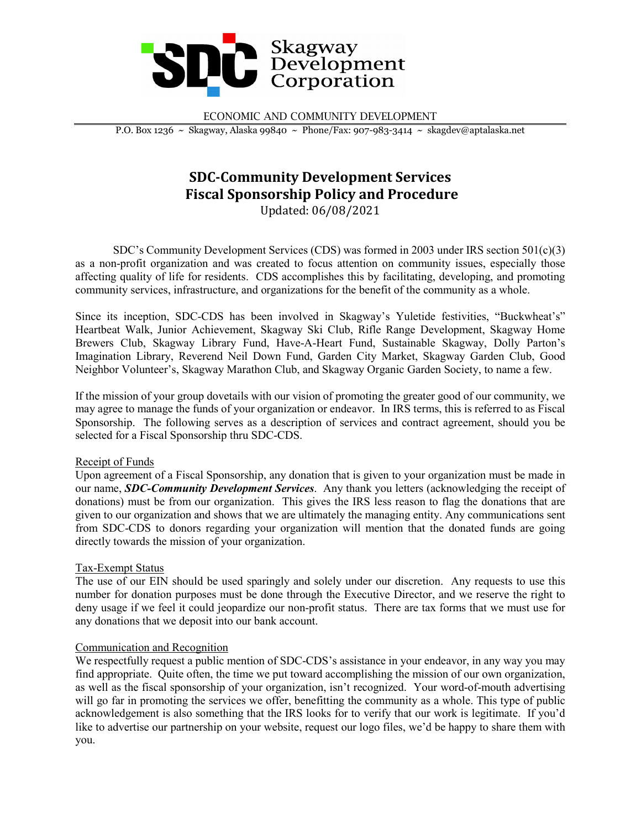

ECONOMIC AND COMMUNITY DEVELOPMENT

P.O. Box 1236 ~ Skagway, Alaska 99840 ~ Phone/Fax: 907-983-3414 ~ skagdev@aptalaska.net

# **SDC-Community Development Services Fiscal Sponsorship Policy and Procedure** Updated: 06/08/2021

SDC's Community Development Services (CDS) was formed in 2003 under IRS section 501(c)(3) as a non-profit organization and was created to focus attention on community issues, especially those affecting quality of life for residents. CDS accomplishes this by facilitating, developing, and promoting community services, infrastructure, and organizations for the benefit of the community as a whole.

Since its inception, SDC-CDS has been involved in Skagway's Yuletide festivities, "Buckwheat's" Heartbeat Walk, Junior Achievement, Skagway Ski Club, Rifle Range Development, Skagway Home Brewers Club, Skagway Library Fund, Have-A-Heart Fund, Sustainable Skagway, Dolly Parton's Imagination Library, Reverend Neil Down Fund, Garden City Market, Skagway Garden Club, Good Neighbor Volunteer's, Skagway Marathon Club, and Skagway Organic Garden Society, to name a few.

If the mission of your group dovetails with our vision of promoting the greater good of our community, we may agree to manage the funds of your organization or endeavor. In IRS terms, this is referred to as Fiscal Sponsorship. The following serves as a description of services and contract agreement, should you be selected for a Fiscal Sponsorship thru SDC-CDS.

# Receipt of Funds

Upon agreement of a Fiscal Sponsorship, any donation that is given to your organization must be made in our name, *SDC-Community Development Services*. Any thank you letters (acknowledging the receipt of donations) must be from our organization. This gives the IRS less reason to flag the donations that are given to our organization and shows that we are ultimately the managing entity. Any communications sent from SDC-CDS to donors regarding your organization will mention that the donated funds are going directly towards the mission of your organization.

# Tax-Exempt Status

The use of our EIN should be used sparingly and solely under our discretion. Any requests to use this number for donation purposes must be done through the Executive Director, and we reserve the right to deny usage if we feel it could jeopardize our non-profit status. There are tax forms that we must use for any donations that we deposit into our bank account.

# Communication and Recognition

We respectfully request a public mention of SDC-CDS's assistance in your endeavor, in any way you may find appropriate. Quite often, the time we put toward accomplishing the mission of our own organization, as well as the fiscal sponsorship of your organization, isn't recognized. Your word-of-mouth advertising will go far in promoting the services we offer, benefitting the community as a whole. This type of public acknowledgement is also something that the IRS looks for to verify that our work is legitimate. If you'd like to advertise our partnership on your website, request our logo files, we'd be happy to share them with you.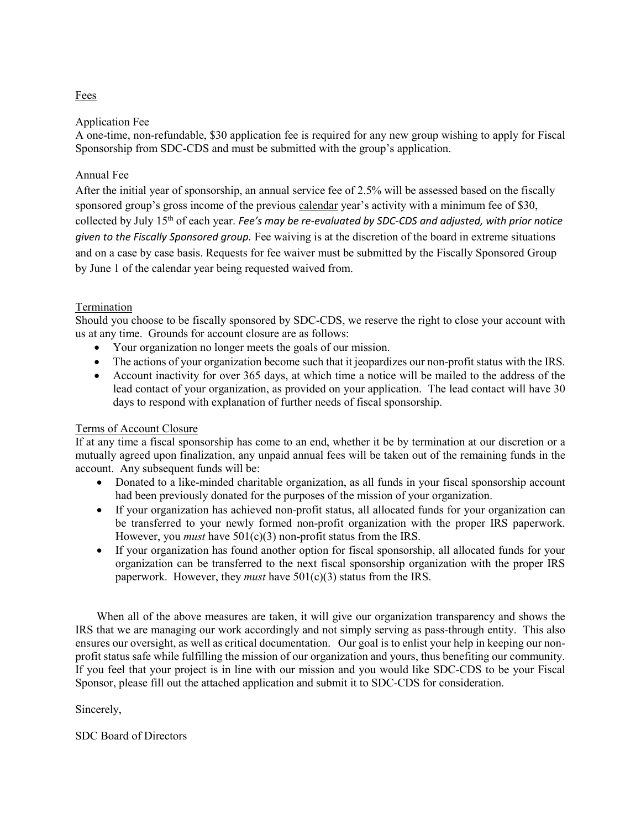# Fees

# Application Fee

A one-time, non-refundable, \$30 application fee is required for any new group wishing to apply for Fiscal Sponsorship from SDC-CDS and must be submitted with the group's application.

# Annual Fee

After the initial year of sponsorship, an annual service fee of 2.5% will be assessed based on the fiscally sponsored group's gross income of the previous calendar year's activity with a minimum fee of \$30, collected by July 15th of each year. *Fee's may be re-evaluated by SDC-CDS and adjusted, with prior notice given to the Fiscally Sponsored group.* Fee waiving is at the discretion of the board in extreme situations and on a case by case basis. Requests for fee waiver must be submitted by the Fiscally Sponsored Group by June 1 of the calendar year being requested waived from.

# Termination

Should you choose to be fiscally sponsored by SDC-CDS, we reserve the right to close your account with us at any time. Grounds for account closure are as follows:

- Your organization no longer meets the goals of our mission.
- The actions of your organization become such that it jeopardizes our non-profit status with the IRS.
- Account inactivity for over 365 days, at which time a notice will be mailed to the address of the lead contact of your organization, as provided on your application. The lead contact will have 30 days to respond with explanation of further needs of fiscal sponsorship.

# Terms of Account Closure

If at any time a fiscal sponsorship has come to an end, whether it be by termination at our discretion or a mutually agreed upon finalization, any unpaid annual fees will be taken out of the remaining funds in the account. Any subsequent funds will be:

- Donated to a like-minded charitable organization, as all funds in your fiscal sponsorship account had been previously donated for the purposes of the mission of your organization.
- If your organization has achieved non-profit status, all allocated funds for your organization can be transferred to your newly formed non-profit organization with the proper IRS paperwork. However, you *must* have  $501(c)(3)$  non-profit status from the IRS.
- If your organization has found another option for fiscal sponsorship, all allocated funds for your organization can be transferred to the next fiscal sponsorship organization with the proper IRS paperwork. However, they *must* have 501(c)(3) status from the IRS.

When all of the above measures are taken, it will give our organization transparency and shows the IRS that we are managing our work accordingly and not simply serving as pass-through entity. This also ensures our oversight, as well as critical documentation. Our goal is to enlist your help in keeping our nonprofit status safe while fulfilling the mission of our organization and yours, thus benefiting our community. If you feel that your project is in line with our mission and you would like SDC-CDS to be your Fiscal Sponsor, please fill out the attached application and submit it to SDC-CDS for consideration.

Sincerely,

# SDC Board of Directors